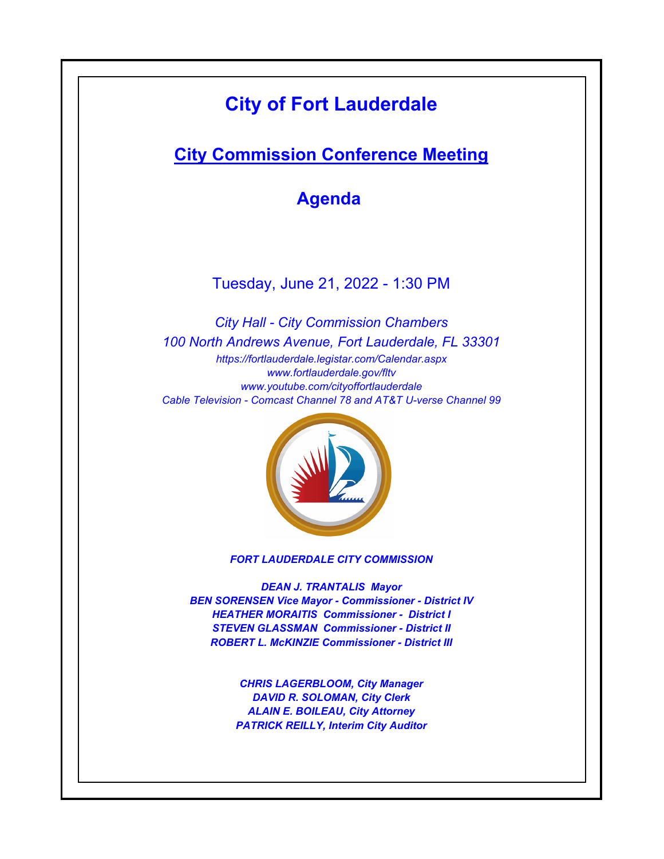# **City of Fort Lauderdale**

# **City Commission Conference Meeting**

**Agenda** 

Tuesday, June 21, 2022 - 1:30 PM

*https://fortlauderdale.legistar.com/Calendar.aspx www.fortlauderdale.gov/fltv www.youtube.com/cityoffortlauderdale Cable Television - Comcast Channel 78 and AT&T U-verse Channel 99 City Hall - City Commission Chambers 100 North Andrews Avenue, Fort Lauderdale, FL 33301*



*FORT LAUDERDALE CITY COMMISSION*

*DEAN J. TRANTALIS Mayor BEN SORENSEN Vice Mayor - Commissioner - District IV HEATHER MORAITIS Commissioner - District I STEVEN GLASSMAN Commissioner - District II ROBERT L. McKINZIE Commissioner - District III*

> *CHRIS LAGERBLOOM, City Manager DAVID R. SOLOMAN, City Clerk ALAIN E. BOILEAU, City Attorney PATRICK REILLY, Interim City Auditor*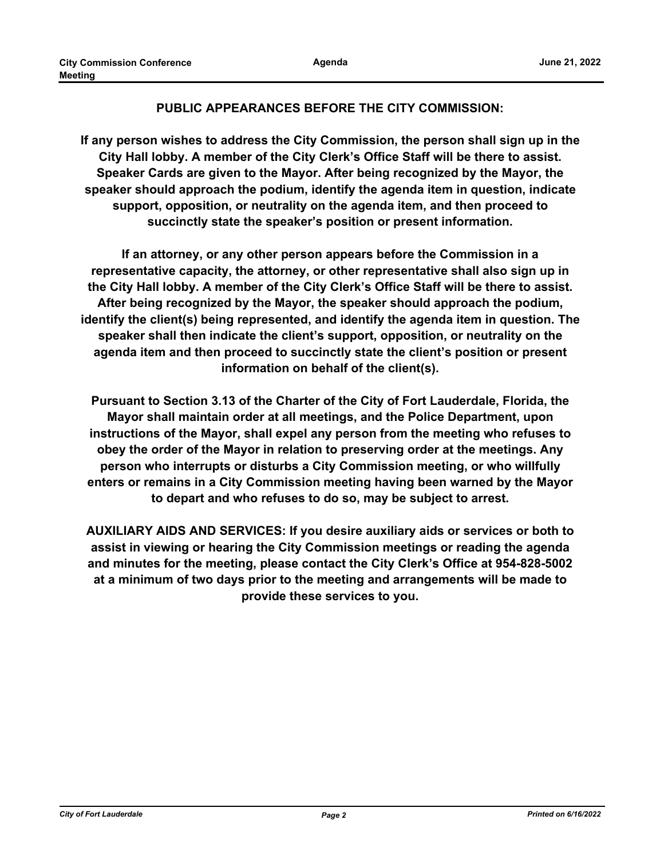## **PUBLIC APPEARANCES BEFORE THE CITY COMMISSION:**

**If any person wishes to address the City Commission, the person shall sign up in the City Hall lobby. A member of the City Clerk's Office Staff will be there to assist. Speaker Cards are given to the Mayor. After being recognized by the Mayor, the speaker should approach the podium, identify the agenda item in question, indicate support, opposition, or neutrality on the agenda item, and then proceed to succinctly state the speaker's position or present information.**

**If an attorney, or any other person appears before the Commission in a representative capacity, the attorney, or other representative shall also sign up in the City Hall lobby. A member of the City Clerk's Office Staff will be there to assist. After being recognized by the Mayor, the speaker should approach the podium, identify the client(s) being represented, and identify the agenda item in question. The speaker shall then indicate the client's support, opposition, or neutrality on the agenda item and then proceed to succinctly state the client's position or present information on behalf of the client(s).**

**Pursuant to Section 3.13 of the Charter of the City of Fort Lauderdale, Florida, the Mayor shall maintain order at all meetings, and the Police Department, upon instructions of the Mayor, shall expel any person from the meeting who refuses to obey the order of the Mayor in relation to preserving order at the meetings. Any person who interrupts or disturbs a City Commission meeting, or who willfully enters or remains in a City Commission meeting having been warned by the Mayor to depart and who refuses to do so, may be subject to arrest.**

**AUXILIARY AIDS AND SERVICES: If you desire auxiliary aids or services or both to assist in viewing or hearing the City Commission meetings or reading the agenda and minutes for the meeting, please contact the City Clerk's Office at 954-828-5002 at a minimum of two days prior to the meeting and arrangements will be made to provide these services to you.**